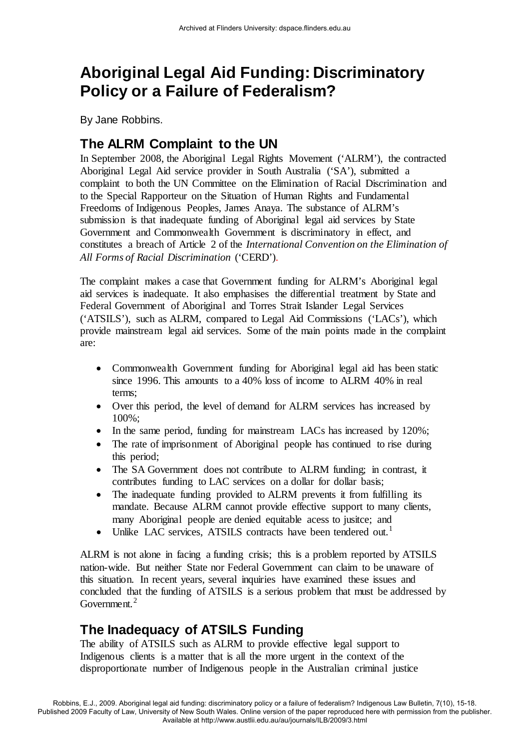# **Aboriginal Legal Aid Funding: Discriminatory Policy or a Failure of Federalism?**

By Jane Robbins.

## **The ALRM Complaint to the UN**

In September 2008, the Aboriginal Legal Rights Movement ('ALRM'), the contracted Aboriginal Legal Aid service provider in South Australia ('SA'), submitted a complaint to both the UN Committee on the Elimination of Racial Discrimination and to the Special Rapporteur on the Situation of Human Rights and Fundamental Freedoms of Indigenous Peoples, James Anaya. The substance of ALRM's submission is that inadequate funding of Aboriginal legal aid services by State Government and Commonwealth Government is discriminatory in effect, and constitutes a breach of Article 2 of the *International Convention on the Elimination of All Forms of Racial Discrimination* ('CERD').

The complaint makes a case that Government funding for ALRM's Aboriginal legal aid services is inadequate. It also emphasises the differential treatment by State and Federal Government of Aboriginal and Torres Strait Islander Legal Services ('ATSILS'), such as ALRM, compared to Legal Aid Commissions ('LACs'), which provide mainstream legal aid services. Some of the main points made in the complaint are:

- Commonwealth Government funding for Aboriginal legal aid has been static since 1996. This amounts to a 40% loss of income to ALRM 40% in real terms;
- Over this period, the level of demand for ALRM services has increased by 100%;
- In the same period, funding for mainstream LACs has increased by 120%;
- The rate of imprisonment of Aboriginal people has continued to rise during this period;
- The SA Government does not contribute to ALRM funding; in contrast, it contributes funding to LAC services on a dollar for dollar basis;
- The inadequate funding provided to ALRM prevents it from fulfilling its mandate. Because ALRM cannot provide effective support to many clients, many Aboriginal people are denied equitable acess to jusitce; and
- Unlike LAC services. ATSILS contracts have been tendered out.<sup>[1](#page-5-0)</sup>

ALRM is not alone in facing a funding crisis; this is a problem reported by ATSILS nation-wide. But neither State nor Federal Government can claim to be unaware of this situation. In recent years, several inquiries have examined these issues and concluded that the funding of ATSILS is a serious problem that must be addressed by Government. $2$ 

## **The Inadequacy of ATSILS Funding**

The ability of ATSILS such as ALRM to provide effective legal support to Indigenous clients is a matter that is all the more urgent in the context of the disproportionate number of Indigenous people in the Australian criminal justice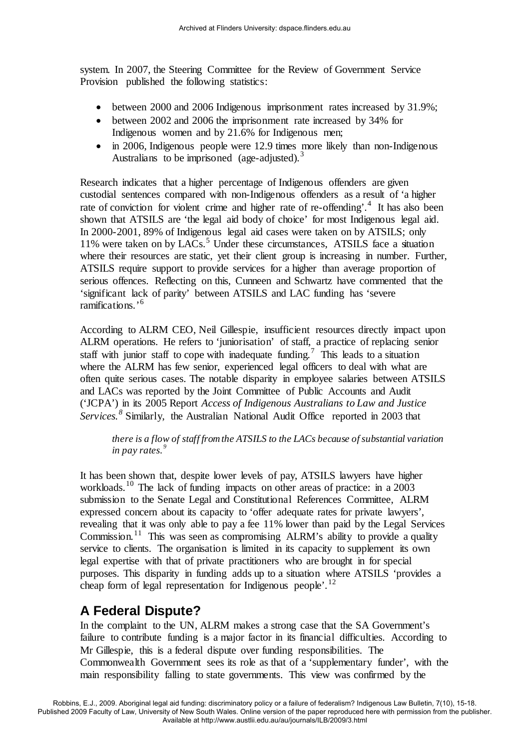system. In 2007, the Steering Committee for the Review of Government Service Provision published the following statistics:

- between 2000 and 2006 Indigenous imprisonment rates increased by 31.9%;
- between 2002 and 2006 the imprisonment rate increased by 34% for Indigenous women and by 21.6% for Indigenous men;
- in 2006, Indigenous people were 12.9 times more likely than non-Indigenous Australians to be imprisoned (age-adjusted).<sup>[3](#page-5-2)</sup>

Research indicates that a higher percentage of Indigenous offenders are given custodial sentences compared with non-Indigenous offenders as a result of 'a higher rate of conviction for violent crime and higher rate of re-offending'.<sup>[4](#page-5-3)</sup> It has also been shown that ATSILS are 'the legal aid body of choice' for most Indigenous legal aid. In 2000-2001, 89% of Indigenous legal aid cases were taken on by ATSILS; only 11% were taken on by LACs.<sup>[5](#page-5-4)</sup> Under these circumstances, ATSILS face a situation where their resources are static, yet their client group is increasing in number. Further, ATSILS require support to provide services for a higher than average proportion of serious offences. Reflecting on this, Cunneen and Schwartz have commented that the 'significant lack of parity' between ATSILS and LAC funding has 'severe ramifications.'[6](#page-5-5)

According to ALRM CEO, Neil Gillespie, insufficient resources directly impact upon ALRM operations. He refers to 'juniorisation' of staff, a practice of replacing senior staff with junior staff to cope with inadequate funding.<sup>[7](#page-5-6)</sup> This leads to a situation where the ALRM has few senior, experienced legal officers to deal with what are often quite serious cases. The notable disparity in employee salaries between ATSILS and LACs was reported by the Joint Committee of Public Accounts and Audit ('JCPA') in its 2005 Report *Access of Indigenous Australians to Law and Justice Services.[8](#page-5-7)* Similarly, the Australian National Audit Office reported in 2003 that

*there is a flow of staff from the ATSILS to the LACs because of substantial variation in pay rates. [9](#page-5-8)*

It has been shown that, despite lower levels of pay, ATSILS lawyers have higher workloads.<sup>[10](#page-5-9)</sup> The lack of funding impacts on other areas of practice: in a 2003 submission to the Senate Legal and Constitutional References Committee, ALRM expressed concern about its capacity to 'offer adequate rates for private lawyers', revealing that it was only able to pay a fee 11% lower than paid by the Legal Services Commission.<sup>[11](#page-5-10)</sup> This was seen as compromising ALRM's ability to provide a quality service to clients. The organisation is limited in its capacity to supplement its own legal expertise with that of private practitioners who are brought in for special purposes. This disparity in funding adds up to a situation where ATSILS 'provides a cheap form of legal representation for Indigenous people'.<sup>[12](#page-5-11)</sup>

### **A Federal Dispute?**

In the complaint to the UN, ALRM makes a strong case that the SA Government's failure to contribute funding is a major factor in its financial difficulties. According to Mr Gillespie, this is a federal dispute over funding responsibilities. The Commonwealth Government sees its role as that of a 'supplementary funder', with the main responsibility falling to state governments. This view was confirmed by the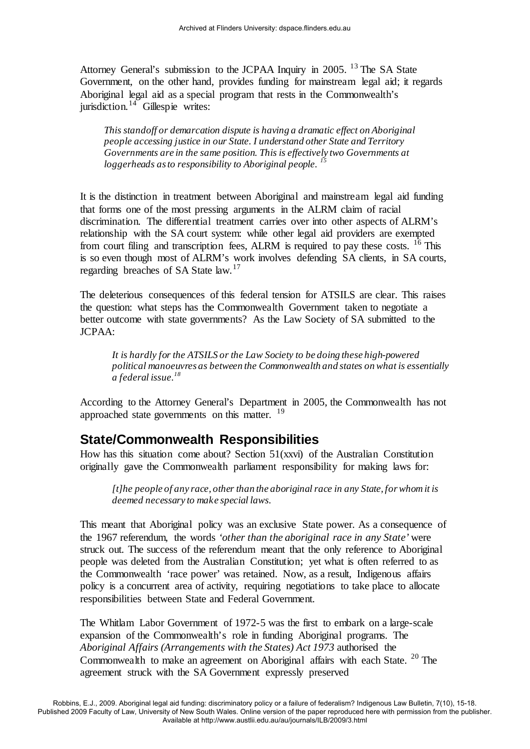Attorney General's submission to the JCPAA Inquiry in 2005. <sup>[13](#page-5-12)</sup> The SA State Government, on the other hand, provides funding for mainstream legal aid; it regards Aboriginal legal aid as a special program that rests in the Commonwealth's jurisdiction. $14$  Gillespie writes:

*This standoff or demarcation dispute is having a dramatic effect on Aboriginal people accessing justice in our State. I understand other State and Territory Governments are in the same position. This is effectively two Governments at loggerheads as to responsibility to Aboriginal people. [15](#page-5-14)*

It is the distinction in treatment between Aboriginal and mainstream legal aid funding that forms one of the most pressing arguments in the ALRM claim of racial discrimination. The differential treatment carries over into other aspects of ALRM's relationship with the SA court system: while other legal aid providers are exempted from court filing and transcription fees, ALRM is required to pay these costs. <sup>[16](#page-5-15)</sup> This is so even though most of ALRM's work involves defending SA clients, in SA courts, regarding breaches of SA State law.<sup>[17](#page-5-16)</sup>

The deleterious consequences of this federal tension for ATSILS are clear. This raises the question: what steps has the Commonwealth Government taken to negotiate a better outcome with state governments? As the Law Society of SA submitted to the JCPAA:

*It is hardly for the ATSILS or the Law Society to be doing these high-powered political manoeuvres as between the Commonwealth and states on what is essentially a federal issue.[18](#page-5-17)* 

According to the Attorney General's Department in 2005, the Commonwealth has not approached state governments on this matter.  $19$ 

#### **State/Commonwealth Responsibilities**

How has this situation come about? Section 51(xxvi) of the Australian Constitution originally gave the Commonwealth parliament responsibility for making laws for:

*[t]he people of any race, other than the aboriginal race in any State, for whom it is deemed necessary to make special laws.* 

This meant that Aboriginal policy was an exclusive State power. As a consequence of the 1967 referendum, the words *'other than the aboriginal race in any State'* were struck out. The success of the referendum meant that the only reference to Aboriginal people was deleted from the Australian Constitution; yet what is often referred to as the Commonwealth 'race power' was retained. Now, as a result, Indigenous affairs policy is a concurrent area of activity, requiring negotiations to take place to allocate responsibilities between State and Federal Government.

The Whitlam Labor Government of 1972-5 was the first to embark on a large-scale expansion of the Commonwealth's role in funding Aboriginal programs. The *Aboriginal Affairs (Arrangements with the States) Act 1973* authorised the Commonwealth to make an agreement on Aboriginal affairs with each State. <sup>[20](#page-5-19)</sup> The agreement struck with the SA Government expressly preserved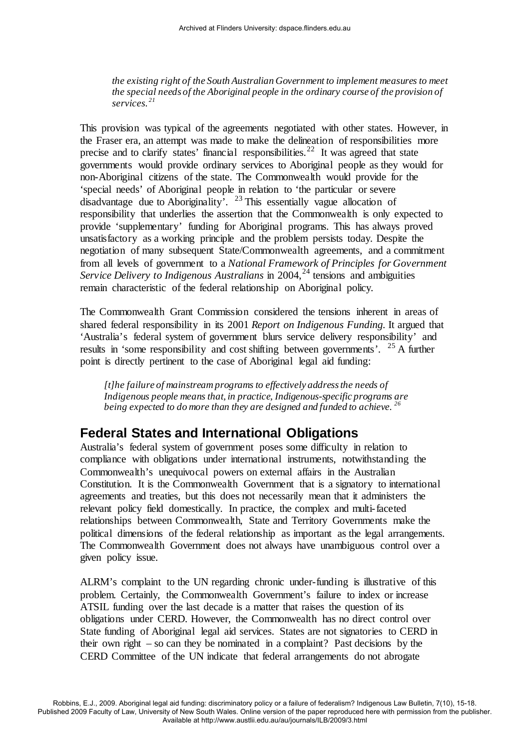*the existing right of the South Australian Government to implement measures to meet the special needs of the Aboriginal people in the ordinary course of the provision of services. [21](#page-5-20)* 

This provision was typical of the agreements negotiated with other states. However, in the Fraser era, an attempt was made to make the delineation of responsibilities more precise and to clarify states' financial responsibilities.<sup>[22](#page-5-21)</sup> It was agreed that state governments would provide ordinary services to Aboriginal people as they would for non-Aboriginal citizens of the state. The Commonwealth would provide for the 'special needs' of Aboriginal people in relation to 'the particular or severe disadvantage due to Aboriginality'. [23](#page-5-22) This essentially vague allocation of responsibility that underlies the assertion that the Commonwealth is only expected to provide 'supplementary' funding for Aboriginal programs. This has always proved unsatisfactory as a working principle and the problem persists today. Despite the negotiation of many subsequent State/Commonwealth agreements, and a commitment from all levels of government to a *National Framework of Principles for Government Service Delivery to Indigenous Australians* in 2004,<sup>[24](#page-5-23)</sup> tensions and ambiguities remain characteristic of the federal relationship on Aboriginal policy.

The Commonwealth Grant Commission considered the tensions inherent in areas of shared federal responsibility in its 2001 *Report on Indigenous Funding.* It argued that 'Australia's federal system of government blurs service delivery responsibility' and results in 'some responsibility and cost shifting between governments'. [25](#page-5-24) A further point is directly pertinent to the case of Aboriginal legal aid funding:

*[t]he failure of mainstream programs to effectively address the needs of Indigenous people means that, in practice, Indigenous-specific programs are being expected to do more than they are designed and funded to achieve.* <sup>26</sup>

## **Federal States and International Obligations**

Australia's federal system of government poses some difficulty in relation to compliance with obligations under international instruments, notwithstanding the Commonwealth's unequivocal powers on external affairs in the Australian Constitution. It is the Commonwealth Government that is a signatory to international agreements and treaties, but this does not necessarily mean that it administers the relevant policy field domestically. In practice, the complex and multi-faceted relationships between Commonwealth, State and Territory Governments make the political dimensions of the federal relationship as important as the legal arrangements. The Commonwealth Government does not always have unambiguous control over a given policy issue.

ALRM's complaint to the UN regarding chronic under-funding is illustrative of this problem. Certainly, the Commonwealth Government's failure to index or increase ATSIL funding over the last decade is a matter that raises the question of its obligations under CERD. However, the Commonwealth has no direct control over State funding of Aboriginal legal aid services. States are not signatories to CERD in their own right – so can they be nominated in a complaint? Past decisions by the CERD Committee of the UN indicate that federal arrangements do not abrogate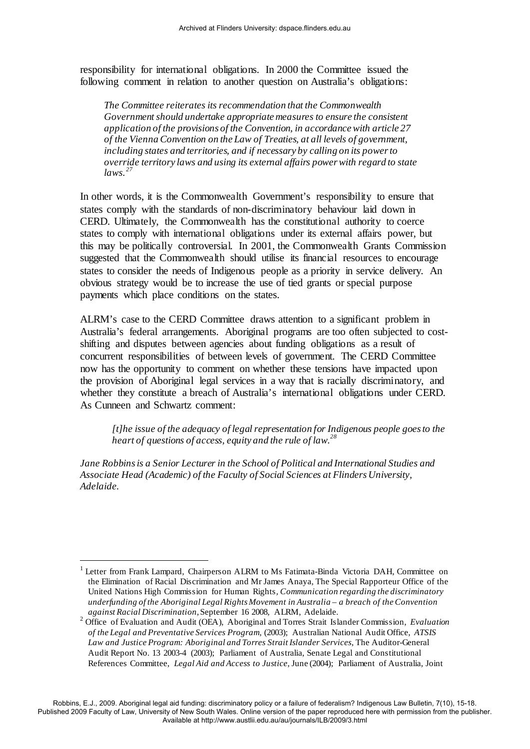responsibility for international obligations. In 2000 the Committee issued the following comment in relation to another question on Australia's obligations:

*The Committee reiterates its recommendation that the Commonwealth Government should undertake appropriate measures to ensure the consistent application of the provisions of the Convention, in accordance with article 27 of the Vienna Convention on the Law of Treaties, at all levels of government, including states and territories, and if necessary by calling on its power to override territory laws and using its external affairs power with regard to state laws. [27](#page-5-26)*

In other words, it is the Commonwealth Government's responsibility to ensure that states comply with the standards of non-discriminatory behaviour laid down in CERD. Ultimately, the Commonwealth has the constitutional authority to coerce states to comply with international obligations under its external affairs power, but this may be politically controversial. In 2001, the Commonwealth Grants Commission suggested that the Commonwealth should utilise its financial resources to encourage states to consider the needs of Indigenous people as a priority in service delivery. An obvious strategy would be to increase the use of tied grants or special purpose payments which place conditions on the states.

ALRM's case to the CERD Committee draws attention to a significant problem in Australia's federal arrangements. Aboriginal programs are too often subjected to costshifting and disputes between agencies about funding obligations as a result of concurrent responsibilities of between levels of government. The CERD Committee now has the opportunity to comment on whether these tensions have impacted upon the provision of Aboriginal legal services in a way that is racially discriminatory, and whether they constitute a breach of Australia's international obligations under CERD. As Cunneen and Schwartz comment:

*[t]he issue of the adequacy of legal representation for Indigenous people goes to the heart of questions of access, equity and the rule of law.[28](#page-5-27)* 

*Jane Robbins is a Senior Lecturer in the School of Political and International Studies and Associate Head (Academic) of the Faculty of Social Sciences at Flinders University, Adelaide.*

<u>.</u>

<sup>&</sup>lt;sup>1</sup> Letter from Frank Lampard, Chairperson ALRM to Ms Fatimata-Binda Victoria DAH, Committee on the Elimination of Racial Discrimination and Mr James Anaya, The Special Rapporteur Office of the United Nations High Commission for Human Rights*, Communication regarding the discriminatory underfunding of the Aboriginal Legal Rights Movement in Australia – a breach of the Convention against Racial Discrimination,*September 16 2008, ALRM, Adelaide.

<sup>2</sup> Office of Evaluation and Audit (OEA), Aboriginal and Torres Strait Islander Commission, *Evaluation of the Legal and Preventative Services Program,* (2003); Australian National Audit Office, *ATSIS Law and Justice Program: Aboriginal and Torres Strait Islander Services*, The Auditor-General Audit Report No. 13 2003-4 (2003); Parliament of Australia, Senate Legal and Constitutional References Committee, *Legal Aid and Access to Justice*, June (2004); Parliament of Australia, Joint